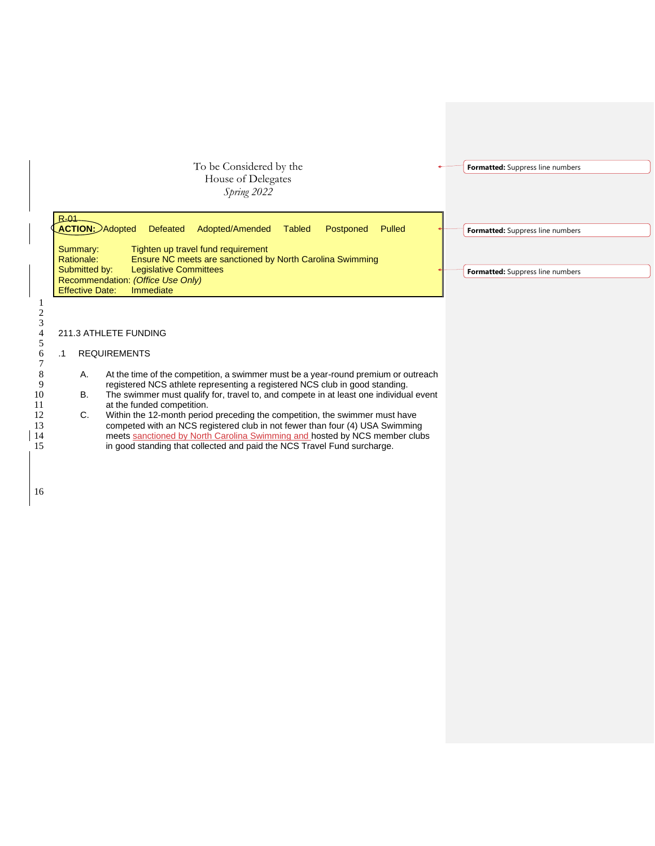



## R-01 **ACTION:** Adopted Defeated Adopted/Amended Tabled Postponed Pulled Summary: Tighten up travel fund requirement<br>Rationale: Finsure NC meets are sanctioned b Ensure NC meets are sanctioned by North Carolina Swimming Submitted by: Legislative Committees Recommendation: *(Office Use Only)* Effective Date: Immediate 211.3 ATHLETE FUNDING **Formatted:** Suppress line numbers **Formatted:** Suppress line numbers

## 6 .1 REQUIREMENTS

- A. At the time of the competition, a swimmer must be a year-round premium or outreach 9 registered NCS athlete representing a registered NCS club in good standing.
- 10 B. The swimmer must qualify for, travel to, and compete in at least one individual event at the funded competition. at the funded competition.<br>C. Within the 12-month period
- 12 C. Within the 12-month period preceding the competition, the swimmer must have 13 competed with an NCS registered club in not fewer than four (4) USA Swimming<br>
14 meets sanctioned by North Carolina Swimming and hosted by NCS member club 14 meets sanctioned by North Carolina Swimming and hosted by NCS member clubs<br>15 in good standing that collected and paid the NCS Travel Fund surcharge. in good standing that collected and paid the NCS Travel Fund surcharge.

1 2 3

5

7